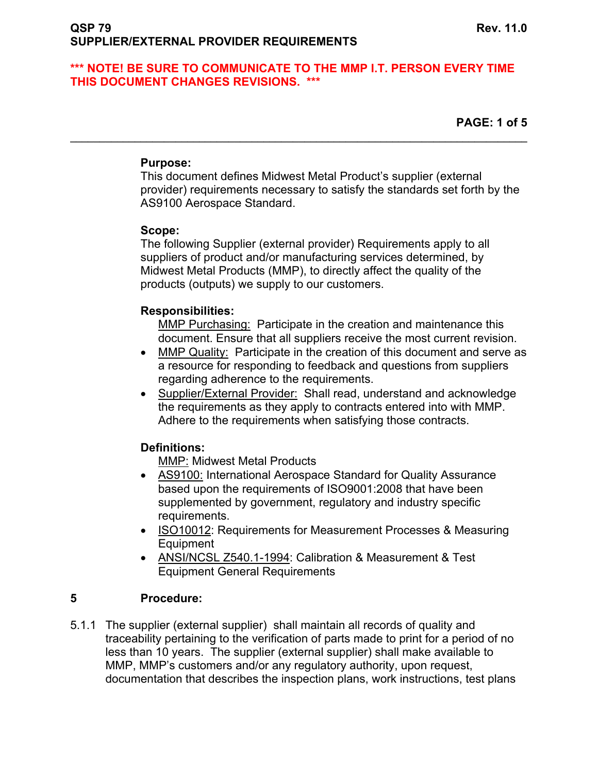$\mathcal{L}_\mathcal{L} = \{ \mathcal{L}_\mathcal{L} = \{ \mathcal{L}_\mathcal{L} = \{ \mathcal{L}_\mathcal{L} = \{ \mathcal{L}_\mathcal{L} = \{ \mathcal{L}_\mathcal{L} = \{ \mathcal{L}_\mathcal{L} = \{ \mathcal{L}_\mathcal{L} = \{ \mathcal{L}_\mathcal{L} = \{ \mathcal{L}_\mathcal{L} = \{ \mathcal{L}_\mathcal{L} = \{ \mathcal{L}_\mathcal{L} = \{ \mathcal{L}_\mathcal{L} = \{ \mathcal{L}_\mathcal{L} = \{ \mathcal{L}_\mathcal{$ 

**PAGE: 1 of 5** 

## **Purpose:**

 This document defines Midwest Metal Product's supplier (external provider) requirements necessary to satisfy the standards set forth by the AS9100 Aerospace Standard.

# **Scope:**

 The following Supplier (external provider) Requirements apply to all suppliers of product and/or manufacturing services determined, by Midwest Metal Products (MMP), to directly affect the quality of the products (outputs) we supply to our customers.

# **Responsibilities:**

MMP Purchasing: Participate in the creation and maintenance this document. Ensure that all suppliers receive the most current revision.

- MMP Quality: Participate in the creation of this document and serve as a resource for responding to feedback and questions from suppliers regarding adherence to the requirements.
- Supplier/External Provider: Shall read, understand and acknowledge the requirements as they apply to contracts entered into with MMP. Adhere to the requirements when satisfying those contracts.

# **Definitions:**

MMP: Midwest Metal Products

- AS9100: International Aerospace Standard for Quality Assurance based upon the requirements of ISO9001:2008 that have been supplemented by government, regulatory and industry specific requirements.
- ISO10012: Requirements for Measurement Processes & Measuring Equipment
- ANSI/NCSL Z540.1-1994: Calibration & Measurement & Test Equipment General Requirements

# **5 Procedure:**

5.1.1 The supplier (external supplier) shall maintain all records of quality and traceability pertaining to the verification of parts made to print for a period of no less than 10 years. The supplier (external supplier) shall make available to MMP, MMP's customers and/or any regulatory authority, upon request, documentation that describes the inspection plans, work instructions, test plans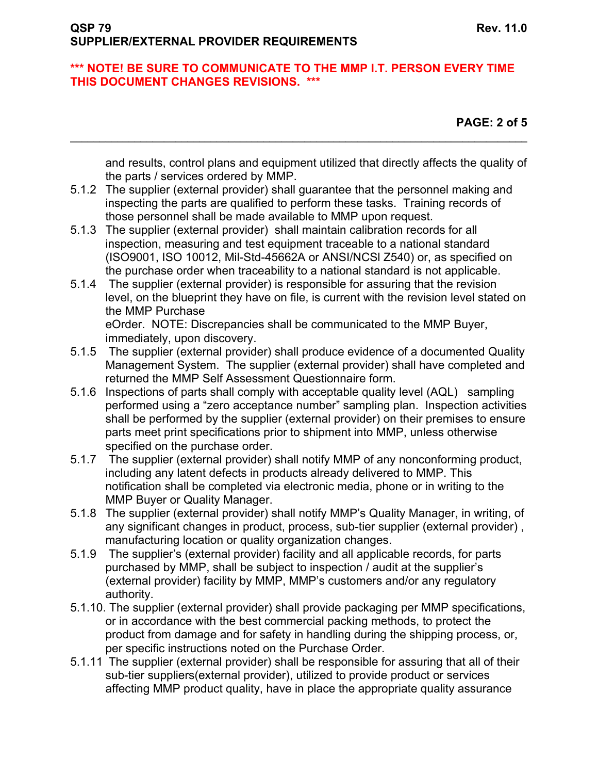$\mathcal{L}_\mathcal{L} = \{ \mathcal{L}_\mathcal{L} = \{ \mathcal{L}_\mathcal{L} = \{ \mathcal{L}_\mathcal{L} = \{ \mathcal{L}_\mathcal{L} = \{ \mathcal{L}_\mathcal{L} = \{ \mathcal{L}_\mathcal{L} = \{ \mathcal{L}_\mathcal{L} = \{ \mathcal{L}_\mathcal{L} = \{ \mathcal{L}_\mathcal{L} = \{ \mathcal{L}_\mathcal{L} = \{ \mathcal{L}_\mathcal{L} = \{ \mathcal{L}_\mathcal{L} = \{ \mathcal{L}_\mathcal{L} = \{ \mathcal{L}_\mathcal{$ 

**PAGE: 2 of 5** 

and results, control plans and equipment utilized that directly affects the quality of the parts / services ordered by MMP.

- 5.1.2 The supplier (external provider) shall guarantee that the personnel making and inspecting the parts are qualified to perform these tasks. Training records of those personnel shall be made available to MMP upon request.
- 5.1.3 The supplier (external provider) shall maintain calibration records for all inspection, measuring and test equipment traceable to a national standard (ISO9001, ISO 10012, Mil-Std-45662A or ANSI/NCSl Z540) or, as specified on the purchase order when traceability to a national standard is not applicable.
- 5.1.4 The supplier (external provider) is responsible for assuring that the revision level, on the blueprint they have on file, is current with the revision level stated on the MMP Purchase

eOrder. NOTE: Discrepancies shall be communicated to the MMP Buyer, immediately, upon discovery.

- 5.1.5 The supplier (external provider) shall produce evidence of a documented Quality Management System. The supplier (external provider) shall have completed and returned the MMP Self Assessment Questionnaire form.
- 5.1.6 Inspections of parts shall comply with acceptable quality level (AQL) sampling performed using a "zero acceptance number" sampling plan. Inspection activities shall be performed by the supplier (external provider) on their premises to ensure parts meet print specifications prior to shipment into MMP, unless otherwise specified on the purchase order.
- 5.1.7 The supplier (external provider) shall notify MMP of any nonconforming product, including any latent defects in products already delivered to MMP. This notification shall be completed via electronic media, phone or in writing to the MMP Buyer or Quality Manager.
- 5.1.8 The supplier (external provider) shall notify MMP's Quality Manager, in writing, of any significant changes in product, process, sub-tier supplier (external provider) , manufacturing location or quality organization changes.
- 5.1.9 The supplier's (external provider) facility and all applicable records, for parts purchased by MMP, shall be subject to inspection / audit at the supplier's (external provider) facility by MMP, MMP's customers and/or any regulatory authority.
- 5.1.10. The supplier (external provider) shall provide packaging per MMP specifications, or in accordance with the best commercial packing methods, to protect the product from damage and for safety in handling during the shipping process, or, per specific instructions noted on the Purchase Order.
- 5.1.11 The supplier (external provider) shall be responsible for assuring that all of their sub-tier suppliers(external provider), utilized to provide product or services affecting MMP product quality, have in place the appropriate quality assurance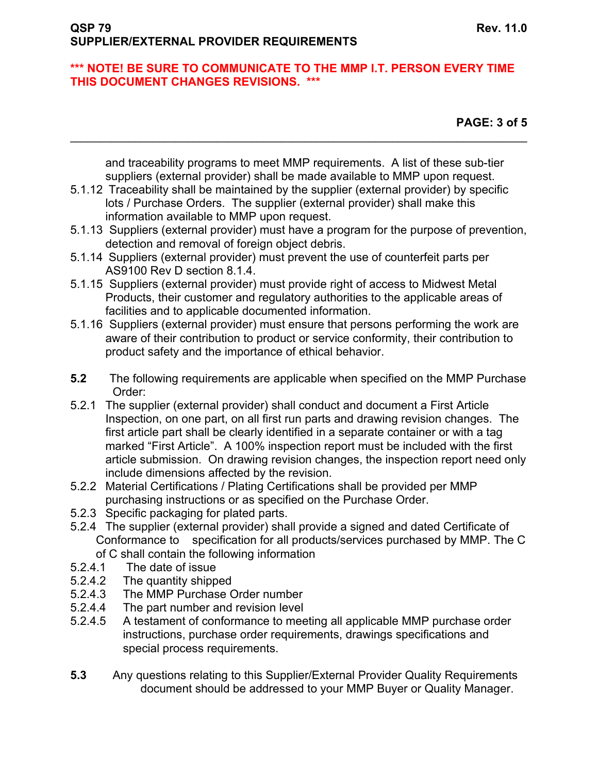**PAGE: 3 of 5** 

and traceability programs to meet MMP requirements. A list of these sub-tier suppliers (external provider) shall be made available to MMP upon request.

 $\mathcal{L}_\mathcal{L} = \{ \mathcal{L}_\mathcal{L} = \{ \mathcal{L}_\mathcal{L} = \{ \mathcal{L}_\mathcal{L} = \{ \mathcal{L}_\mathcal{L} = \{ \mathcal{L}_\mathcal{L} = \{ \mathcal{L}_\mathcal{L} = \{ \mathcal{L}_\mathcal{L} = \{ \mathcal{L}_\mathcal{L} = \{ \mathcal{L}_\mathcal{L} = \{ \mathcal{L}_\mathcal{L} = \{ \mathcal{L}_\mathcal{L} = \{ \mathcal{L}_\mathcal{L} = \{ \mathcal{L}_\mathcal{L} = \{ \mathcal{L}_\mathcal{$ 

- 5.1.12 Traceability shall be maintained by the supplier (external provider) by specific lots / Purchase Orders. The supplier (external provider) shall make this information available to MMP upon request.
- 5.1.13 Suppliers (external provider) must have a program for the purpose of prevention, detection and removal of foreign object debris.
- 5.1.14 Suppliers (external provider) must prevent the use of counterfeit parts per AS9100 Rev D section 8.1.4.
- 5.1.15 Suppliers (external provider) must provide right of access to Midwest Metal Products, their customer and regulatory authorities to the applicable areas of facilities and to applicable documented information.
- 5.1.16 Suppliers (external provider) must ensure that persons performing the work are aware of their contribution to product or service conformity, their contribution to product safety and the importance of ethical behavior.
- **5.2** The following requirements are applicable when specified on the MMP Purchase Order:
- 5.2.1 The supplier (external provider) shall conduct and document a First Article Inspection, on one part, on all first run parts and drawing revision changes. The first article part shall be clearly identified in a separate container or with a tag marked "First Article". A 100% inspection report must be included with the first article submission. On drawing revision changes, the inspection report need only include dimensions affected by the revision.
- 5.2.2 Material Certifications / Plating Certifications shall be provided per MMP purchasing instructions or as specified on the Purchase Order.
- 5.2.3 Specific packaging for plated parts.
- 5.2.4 The supplier (external provider) shall provide a signed and dated Certificate of Conformance to specification for all products/services purchased by MMP. The C of C shall contain the following information
- 5.2.4.1 The date of issue
- 5.2.4.2 The quantity shipped
- 5.2.4.3 The MMP Purchase Order number
- 5.2.4.4 The part number and revision level
- 5.2.4.5 A testament of conformance to meeting all applicable MMP purchase order instructions, purchase order requirements, drawings specifications and special process requirements.
- **5.3** Any questions relating to this Supplier/External Provider Quality Requirements document should be addressed to your MMP Buyer or Quality Manager.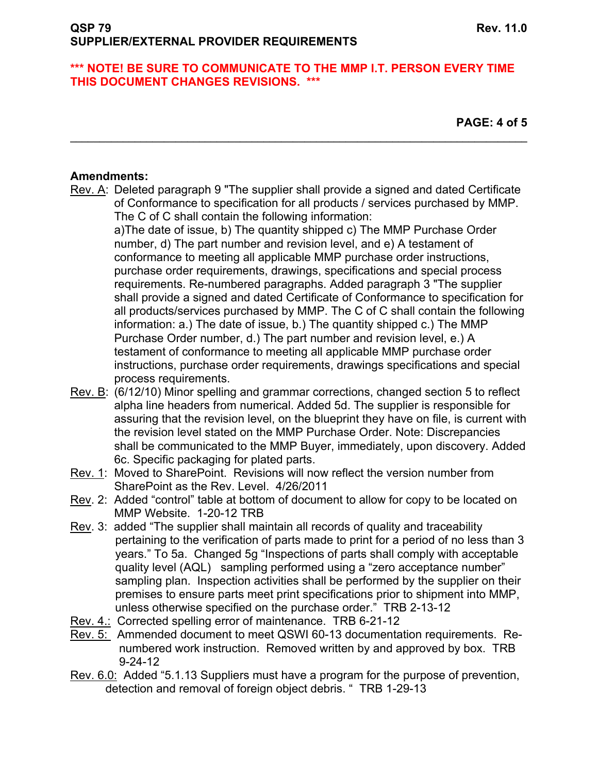**PAGE: 4 of 5** 

# **Amendments:**

Rev. A: Deleted paragraph 9 "The supplier shall provide a signed and dated Certificate of Conformance to specification for all products / services purchased by MMP. The C of C shall contain the following information:

 $\mathcal{L}_\mathcal{L} = \{ \mathcal{L}_\mathcal{L} = \{ \mathcal{L}_\mathcal{L} = \{ \mathcal{L}_\mathcal{L} = \{ \mathcal{L}_\mathcal{L} = \{ \mathcal{L}_\mathcal{L} = \{ \mathcal{L}_\mathcal{L} = \{ \mathcal{L}_\mathcal{L} = \{ \mathcal{L}_\mathcal{L} = \{ \mathcal{L}_\mathcal{L} = \{ \mathcal{L}_\mathcal{L} = \{ \mathcal{L}_\mathcal{L} = \{ \mathcal{L}_\mathcal{L} = \{ \mathcal{L}_\mathcal{L} = \{ \mathcal{L}_\mathcal{$ 

a)The date of issue, b) The quantity shipped c) The MMP Purchase Order number, d) The part number and revision level, and e) A testament of conformance to meeting all applicable MMP purchase order instructions, purchase order requirements, drawings, specifications and special process requirements. Re-numbered paragraphs. Added paragraph 3 "The supplier shall provide a signed and dated Certificate of Conformance to specification for all products/services purchased by MMP. The C of C shall contain the following information: a.) The date of issue, b.) The quantity shipped c.) The MMP Purchase Order number, d.) The part number and revision level, e.) A testament of conformance to meeting all applicable MMP purchase order instructions, purchase order requirements, drawings specifications and special process requirements.

- Rev. B: (6/12/10) Minor spelling and grammar corrections, changed section 5 to reflect alpha line headers from numerical. Added 5d. The supplier is responsible for assuring that the revision level, on the blueprint they have on file, is current with the revision level stated on the MMP Purchase Order. Note: Discrepancies shall be communicated to the MMP Buyer, immediately, upon discovery. Added 6c. Specific packaging for plated parts.
- Rev. 1: Moved to SharePoint. Revisions will now reflect the version number from SharePoint as the Rev. Level. 4/26/2011
- Rev. 2: Added "control" table at bottom of document to allow for copy to be located on MMP Website. 1-20-12 TRB
- Rev. 3: added "The supplier shall maintain all records of quality and traceability pertaining to the verification of parts made to print for a period of no less than 3 years." To 5a. Changed 5g "Inspections of parts shall comply with acceptable quality level (AQL) sampling performed using a "zero acceptance number" sampling plan. Inspection activities shall be performed by the supplier on their premises to ensure parts meet print specifications prior to shipment into MMP, unless otherwise specified on the purchase order." TRB 2-13-12
- Rev. 4.: Corrected spelling error of maintenance. TRB 6-21-12
- Rev. 5: Ammended document to meet QSWI 60-13 documentation requirements. Re numbered work instruction. Removed written by and approved by box. TRB 9-24-12
- Rev. 6.0: Added "5.1.13 Suppliers must have a program for the purpose of prevention, detection and removal of foreign object debris. " TRB 1-29-13